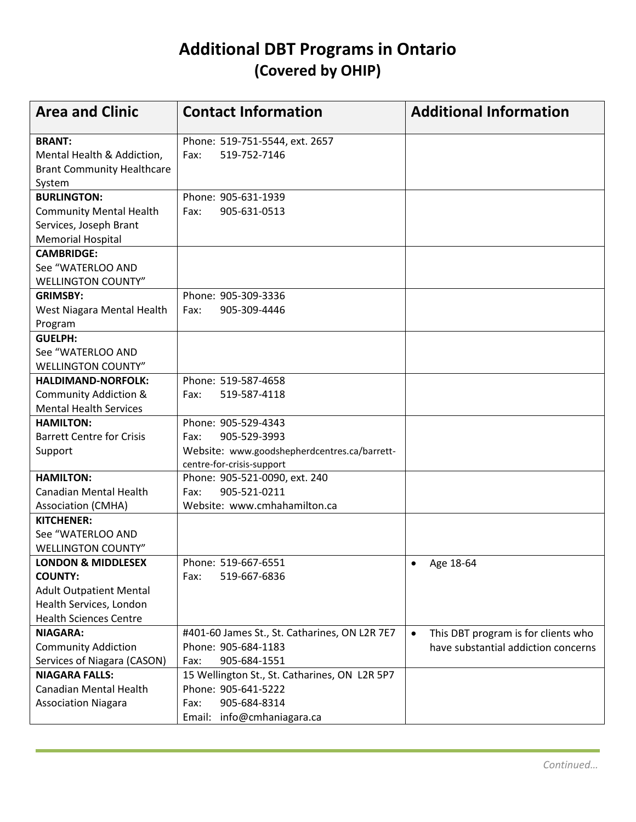## **Additional DBT Programs in Ontario (Covered by OHIP)**

| <b>Area and Clinic</b>                                                                                                                        | <b>Contact Information</b>                                                                                                    | <b>Additional Information</b>                                                           |
|-----------------------------------------------------------------------------------------------------------------------------------------------|-------------------------------------------------------------------------------------------------------------------------------|-----------------------------------------------------------------------------------------|
| <b>BRANT:</b><br>Mental Health & Addiction,<br><b>Brant Community Healthcare</b><br>System                                                    | Phone: 519-751-5544, ext. 2657<br>519-752-7146<br>Fax:                                                                        |                                                                                         |
| <b>BURLINGTON:</b><br><b>Community Mental Health</b><br>Services, Joseph Brant<br><b>Memorial Hospital</b>                                    | Phone: 905-631-1939<br>905-631-0513<br>Fax:                                                                                   |                                                                                         |
| <b>CAMBRIDGE:</b><br>See "WATERLOO AND<br><b>WELLINGTON COUNTY"</b>                                                                           |                                                                                                                               |                                                                                         |
| <b>GRIMSBY:</b><br>West Niagara Mental Health<br>Program                                                                                      | Phone: 905-309-3336<br>905-309-4446<br>Fax:                                                                                   |                                                                                         |
| <b>GUELPH:</b><br>See "WATERLOO AND<br><b>WELLINGTON COUNTY"</b>                                                                              |                                                                                                                               |                                                                                         |
| <b>HALDIMAND-NORFOLK:</b><br><b>Community Addiction &amp;</b><br><b>Mental Health Services</b>                                                | Phone: 519-587-4658<br>519-587-4118<br>Fax:                                                                                   |                                                                                         |
| <b>HAMILTON:</b><br><b>Barrett Centre for Crisis</b><br>Support                                                                               | Phone: 905-529-4343<br>905-529-3993<br>Fax:<br>Website: www.goodshepherdcentres.ca/barrett-<br>centre-for-crisis-support      |                                                                                         |
| <b>HAMILTON:</b><br><b>Canadian Mental Health</b><br><b>Association (CMHA)</b>                                                                | Phone: 905-521-0090, ext. 240<br>905-521-0211<br>Fax:<br>Website: www.cmhahamilton.ca                                         |                                                                                         |
| <b>KITCHENER:</b><br>See "WATERLOO AND<br><b>WELLINGTON COUNTY"</b>                                                                           |                                                                                                                               |                                                                                         |
| <b>LONDON &amp; MIDDLESEX</b><br><b>COUNTY:</b><br><b>Adult Outpatient Mental</b><br>Health Services, London<br><b>Health Sciences Centre</b> | Phone: 519-667-6551<br>519-667-6836<br>Fax:                                                                                   | • Age 18-64                                                                             |
| <b>NIAGARA:</b><br><b>Community Addiction</b><br>Services of Niagara (CASON)                                                                  | #401-60 James St., St. Catharines, ON L2R 7E7<br>Phone: 905-684-1183<br>905-684-1551<br>Fax:                                  | This DBT program is for clients who<br>$\bullet$<br>have substantial addiction concerns |
| <b>NIAGARA FALLS:</b><br><b>Canadian Mental Health</b><br><b>Association Niagara</b>                                                          | 15 Wellington St., St. Catharines, ON L2R 5P7<br>Phone: 905-641-5222<br>905-684-8314<br>Fax:<br>info@cmhaniagara.ca<br>Email: |                                                                                         |